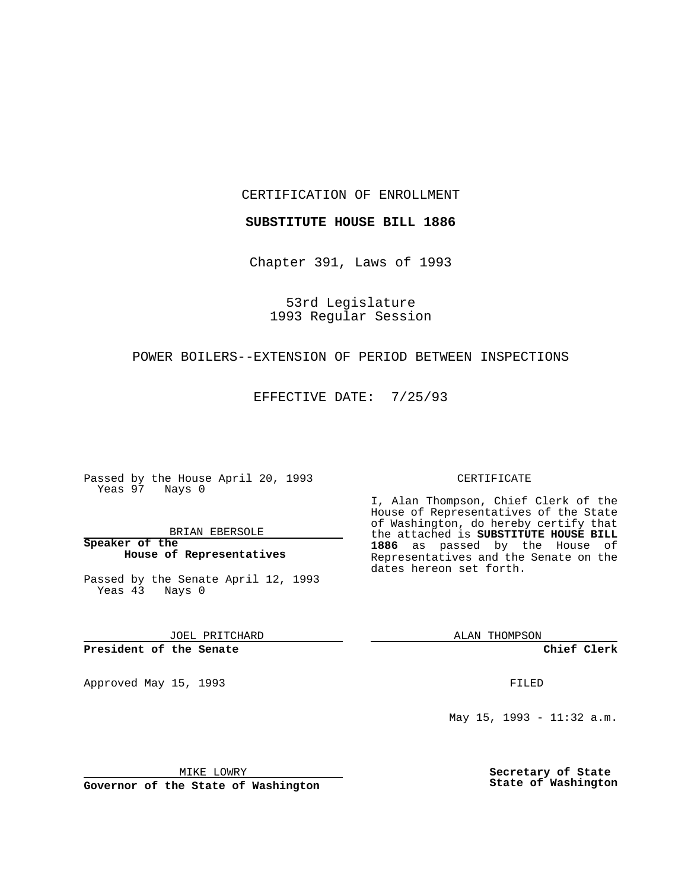CERTIFICATION OF ENROLLMENT

**SUBSTITUTE HOUSE BILL 1886**

Chapter 391, Laws of 1993

53rd Legislature 1993 Regular Session

### POWER BOILERS--EXTENSION OF PERIOD BETWEEN INSPECTIONS

EFFECTIVE DATE: 7/25/93

Passed by the House April 20, 1993 Yeas 97 Nays 0

BRIAN EBERSOLE

**Speaker of the House of Representatives**

Passed by the Senate April 12, 1993 Yeas 43 Nays 0

JOEL PRITCHARD

# **President of the Senate**

Approved May 15, 1993 **FILED** 

#### CERTIFICATE

I, Alan Thompson, Chief Clerk of the House of Representatives of the State of Washington, do hereby certify that the attached is **SUBSTITUTE HOUSE BILL 1886** as passed by the House of Representatives and the Senate on the dates hereon set forth.

ALAN THOMPSON

**Chief Clerk**

May 15, 1993 - 11:32 a.m.

MIKE LOWRY

**Governor of the State of Washington**

**Secretary of State State of Washington**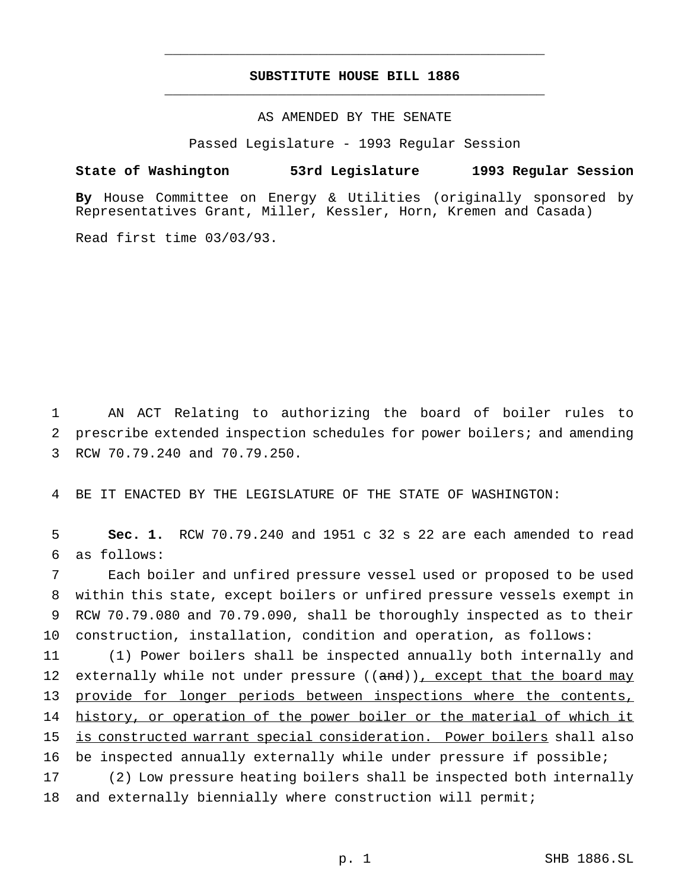# **SUBSTITUTE HOUSE BILL 1886** \_\_\_\_\_\_\_\_\_\_\_\_\_\_\_\_\_\_\_\_\_\_\_\_\_\_\_\_\_\_\_\_\_\_\_\_\_\_\_\_\_\_\_\_\_\_\_

\_\_\_\_\_\_\_\_\_\_\_\_\_\_\_\_\_\_\_\_\_\_\_\_\_\_\_\_\_\_\_\_\_\_\_\_\_\_\_\_\_\_\_\_\_\_\_

AS AMENDED BY THE SENATE

Passed Legislature - 1993 Regular Session

### **State of Washington 53rd Legislature 1993 Regular Session**

**By** House Committee on Energy & Utilities (originally sponsored by Representatives Grant, Miller, Kessler, Horn, Kremen and Casada)

Read first time 03/03/93.

1 AN ACT Relating to authorizing the board of boiler rules to 2 prescribe extended inspection schedules for power boilers; and amending 3 RCW 70.79.240 and 70.79.250.

4 BE IT ENACTED BY THE LEGISLATURE OF THE STATE OF WASHINGTON:

5 **Sec. 1.** RCW 70.79.240 and 1951 c 32 s 22 are each amended to read 6 as follows:

 Each boiler and unfired pressure vessel used or proposed to be used within this state, except boilers or unfired pressure vessels exempt in RCW 70.79.080 and 70.79.090, shall be thoroughly inspected as to their construction, installation, condition and operation, as follows:

 (1) Power boilers shall be inspected annually both internally and 12 externally while not under pressure ((and)), except that the board may provide for longer periods between inspections where the contents, 14 history, or operation of the power boiler or the material of which it is constructed warrant special consideration. Power boilers shall also be inspected annually externally while under pressure if possible;

17 (2) Low pressure heating boilers shall be inspected both internally 18 and externally biennially where construction will permit;